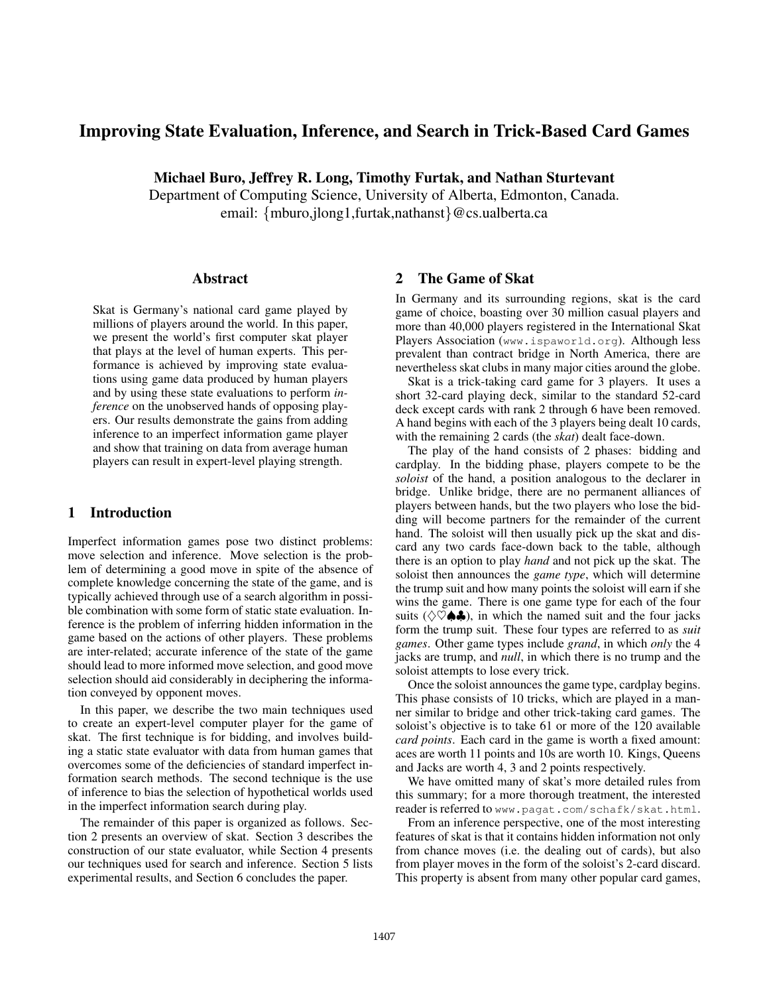# Improving State Evaluation, Inference, and Search in Trick-Based Card Games

Michael Buro, Jeffrey R. Long, Timothy Furtak, and Nathan Sturtevant

Department of Computing Science, University of Alberta, Edmonton, Canada. email: {mburo,jlong1,furtak,nathanst}@cs.ualberta.ca

#### Abstract

Skat is Germany's national card game played by millions of players around the world. In this paper, we present the world's first computer skat player that plays at the level of human experts. This performance is achieved by improving state evaluations using game data produced by human players and by using these state evaluations to perform *inference* on the unobserved hands of opposing players. Our results demonstrate the gains from adding inference to an imperfect information game player and show that training on data from average human players can result in expert-level playing strength.

#### 1 Introduction

Imperfect information games pose two distinct problems: move selection and inference. Move selection is the problem of determining a good move in spite of the absence of complete knowledge concerning the state of the game, and is typically achieved through use of a search algorithm in possible combination with some form of static state evaluation. Inference is the problem of inferring hidden information in the game based on the actions of other players. These problems are inter-related; accurate inference of the state of the game should lead to more informed move selection, and good move selection should aid considerably in deciphering the information conveyed by opponent moves.

In this paper, we describe the two main techniques used to create an expert-level computer player for the game of skat. The first technique is for bidding, and involves building a static state evaluator with data from human games that overcomes some of the deficiencies of standard imperfect information search methods. The second technique is the use of inference to bias the selection of hypothetical worlds used in the imperfect information search during play.

The remainder of this paper is organized as follows. Section 2 presents an overview of skat. Section 3 describes the construction of our state evaluator, while Section 4 presents our techniques used for search and inference. Section 5 lists experimental results, and Section 6 concludes the paper.

# 2 The Game of Skat

In Germany and its surrounding regions, skat is the card game of choice, boasting over 30 million casual players and more than 40,000 players registered in the International Skat Players Association (www.ispaworld.org). Although less prevalent than contract bridge in North America, there are nevertheless skat clubs in many major cities around the globe.

Skat is a trick-taking card game for 3 players. It uses a short 32-card playing deck, similar to the standard 52-card deck except cards with rank 2 through 6 have been removed. A hand begins with each of the 3 players being dealt 10 cards, with the remaining 2 cards (the *skat*) dealt face-down.

The play of the hand consists of 2 phases: bidding and cardplay. In the bidding phase, players compete to be the *soloist* of the hand, a position analogous to the declarer in bridge. Unlike bridge, there are no permanent alliances of players between hands, but the two players who lose the bidding will become partners for the remainder of the current hand. The soloist will then usually pick up the skat and discard any two cards face-down back to the table, although there is an option to play *hand* and not pick up the skat. The soloist then announces the *game type*, which will determine the trump suit and how many points the soloist will earn if she wins the game. There is one game type for each of the four suits ( $\Diamond \heartsuit \spadesuit \clubsuit$ ), in which the named suit and the four jacks form the trump suit. These four types are referred to as *suit games*. Other game types include *grand*, in which *only* the 4 jacks are trump, and *null*, in which there is no trump and the soloist attempts to lose every trick.

Once the soloist announces the game type, cardplay begins. This phase consists of 10 tricks, which are played in a manner similar to bridge and other trick-taking card games. The soloist's objective is to take 61 or more of the 120 available *card points*. Each card in the game is worth a fixed amount: aces are worth 11 points and 10s are worth 10. Kings, Queens and Jacks are worth 4, 3 and 2 points respectively.

We have omitted many of skat's more detailed rules from this summary; for a more thorough treatment, the interested reader is referred to www.pagat.com/schafk/skat.html.

From an inference perspective, one of the most interesting features of skat is that it contains hidden information not only from chance moves (i.e. the dealing out of cards), but also from player moves in the form of the soloist's 2-card discard. This property is absent from many other popular card games,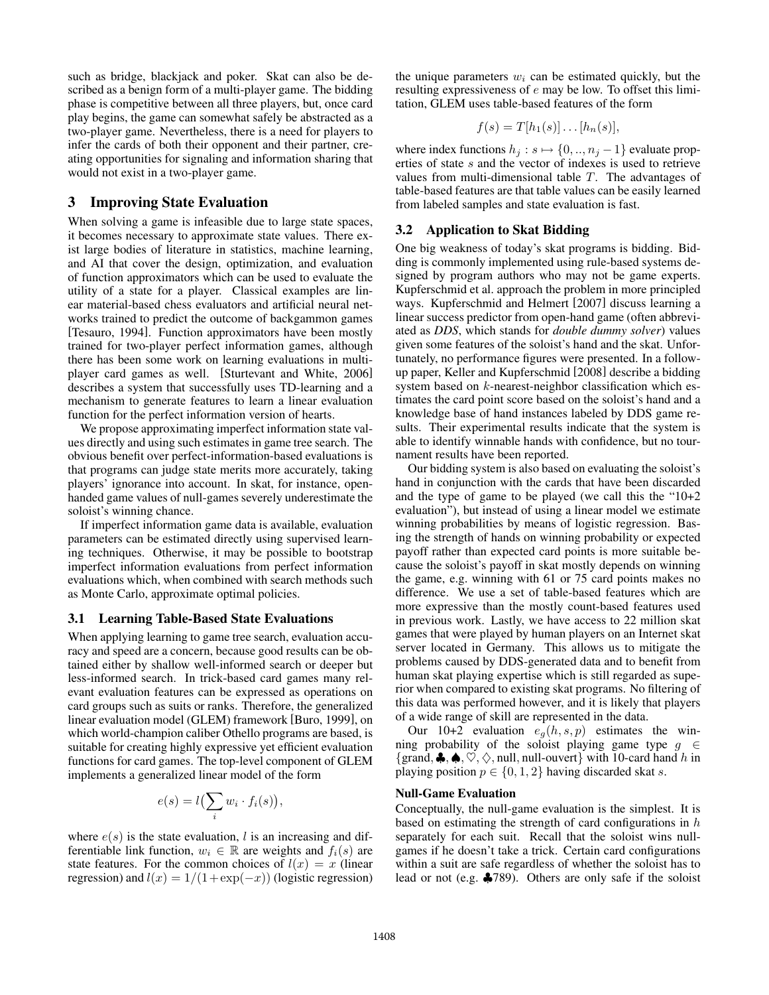such as bridge, blackjack and poker. Skat can also be described as a benign form of a multi-player game. The bidding phase is competitive between all three players, but, once card play begins, the game can somewhat safely be abstracted as a two-player game. Nevertheless, there is a need for players to infer the cards of both their opponent and their partner, creating opportunities for signaling and information sharing that would not exist in a two-player game.

### 3 Improving State Evaluation

When solving a game is infeasible due to large state spaces, it becomes necessary to approximate state values. There exist large bodies of literature in statistics, machine learning, and AI that cover the design, optimization, and evaluation of function approximators which can be used to evaluate the utility of a state for a player. Classical examples are linear material-based chess evaluators and artificial neural networks trained to predict the outcome of backgammon games [Tesauro, 1994]. Function approximators have been mostly trained for two-player perfect information games, although there has been some work on learning evaluations in multiplayer card games as well. [Sturtevant and White, 2006] describes a system that successfully uses TD-learning and a mechanism to generate features to learn a linear evaluation function for the perfect information version of hearts.

We propose approximating imperfect information state values directly and using such estimates in game tree search. The obvious benefit over perfect-information-based evaluations is that programs can judge state merits more accurately, taking players' ignorance into account. In skat, for instance, openhanded game values of null-games severely underestimate the soloist's winning chance.

If imperfect information game data is available, evaluation parameters can be estimated directly using supervised learning techniques. Otherwise, it may be possible to bootstrap imperfect information evaluations from perfect information evaluations which, when combined with search methods such as Monte Carlo, approximate optimal policies.

#### 3.1 Learning Table-Based State Evaluations

When applying learning to game tree search, evaluation accuracy and speed are a concern, because good results can be obtained either by shallow well-informed search or deeper but less-informed search. In trick-based card games many relevant evaluation features can be expressed as operations on card groups such as suits or ranks. Therefore, the generalized linear evaluation model (GLEM) framework [Buro, 1999], on which world-champion caliber Othello programs are based, is suitable for creating highly expressive yet efficient evaluation functions for card games. The top-level component of GLEM implements a generalized linear model of the form

$$
e(s) = l\left(\sum_i w_i \cdot f_i(s)\right),\,
$$

where  $e(s)$  is the state evaluation, l is an increasing and differentiable link function,  $w_i \in \mathbb{R}$  are weights and  $f_i(s)$  are state features. For the common choices of  $l(x) = x$  (linear regression) and  $l(x)=1/(1+\exp(-x))$  (logistic regression) the unique parameters  $w_i$  can be estimated quickly, but the resulting expressiveness of  $e$  may be low. To offset this limitation, GLEM uses table-based features of the form

$$
f(s) = T[h_1(s)] \dots [h_n(s)],
$$

where index functions  $h_j : s \mapsto \{0, ..., n_j - 1\}$  evaluate properties of state s and the vector of indexes is used to retrieve values from multi-dimensional table T. The advantages of table-based features are that table values can be easily learned from labeled samples and state evaluation is fast.

#### 3.2 Application to Skat Bidding

One big weakness of today's skat programs is bidding. Bidding is commonly implemented using rule-based systems designed by program authors who may not be game experts. Kupferschmid et al. approach the problem in more principled ways. Kupferschmid and Helmert [2007] discuss learning a linear success predictor from open-hand game (often abbreviated as *DDS*, which stands for *double dummy solver*) values given some features of the soloist's hand and the skat. Unfortunately, no performance figures were presented. In a followup paper, Keller and Kupferschmid [2008] describe a bidding system based on k-nearest-neighbor classification which estimates the card point score based on the soloist's hand and a knowledge base of hand instances labeled by DDS game results. Their experimental results indicate that the system is able to identify winnable hands with confidence, but no tournament results have been reported.

Our bidding system is also based on evaluating the soloist's hand in conjunction with the cards that have been discarded and the type of game to be played (we call this the "10+2 evaluation"), but instead of using a linear model we estimate winning probabilities by means of logistic regression. Basing the strength of hands on winning probability or expected payoff rather than expected card points is more suitable because the soloist's payoff in skat mostly depends on winning the game, e.g. winning with 61 or 75 card points makes no difference. We use a set of table-based features which are more expressive than the mostly count-based features used in previous work. Lastly, we have access to 22 million skat games that were played by human players on an Internet skat server located in Germany. This allows us to mitigate the problems caused by DDS-generated data and to benefit from human skat playing expertise which is still regarded as superior when compared to existing skat programs. No filtering of this data was performed however, and it is likely that players of a wide range of skill are represented in the data.

Our 10+2 evaluation  $e_g(h, s, p)$  estimates the winning probability of the soloist playing game type  $g \in \mathcal{E}$ {grand,  $\clubsuit$ ,  $\spadesuit$ ,  $\heartsuit$ ,  $\diamondsuit$ , null, null-ouvert} with 10-card hand h in playing position  $p \in \{0, 1, 2\}$  having discarded skat s.

#### Null-Game Evaluation

Conceptually, the null-game evaluation is the simplest. It is based on estimating the strength of card configurations in  $h$ separately for each suit. Recall that the soloist wins nullgames if he doesn't take a trick. Certain card configurations within a suit are safe regardless of whether the soloist has to lead or not (e.g. ♣789). Others are only safe if the soloist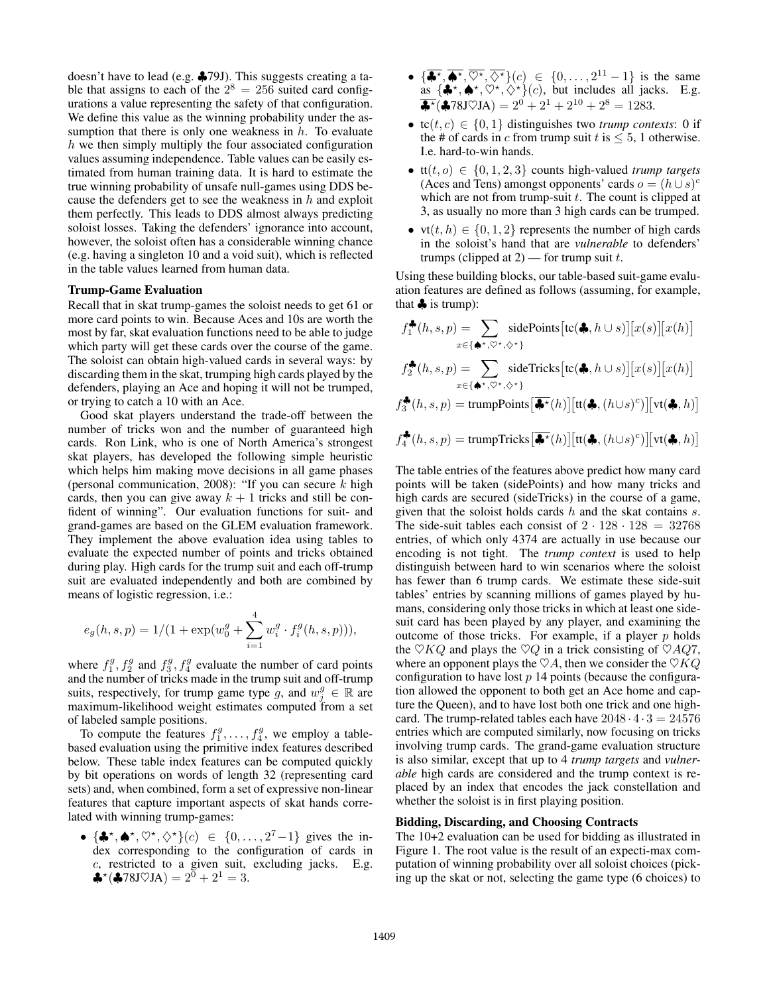doesn't have to lead (e.g. ♣79J). This suggests creating a table that assigns to each of the  $2^8 = 256$  suited card configurations a value representing the safety of that configuration. We define this value as the winning probability under the assumption that there is only one weakness in  $h$ . To evaluate  $h$  we then simply multiply the four associated configuration values assuming independence. Table values can be easily estimated from human training data. It is hard to estimate the true winning probability of unsafe null-games using DDS because the defenders get to see the weakness in  $h$  and exploit them perfectly. This leads to DDS almost always predicting soloist losses. Taking the defenders' ignorance into account, however, the soloist often has a considerable winning chance (e.g. having a singleton 10 and a void suit), which is reflected in the table values learned from human data.

#### Trump-Game Evaluation

Recall that in skat trump-games the soloist needs to get 61 or more card points to win. Because Aces and 10s are worth the most by far, skat evaluation functions need to be able to judge which party will get these cards over the course of the game. The soloist can obtain high-valued cards in several ways: by discarding them in the skat, trumping high cards played by the defenders, playing an Ace and hoping it will not be trumped, or trying to catch a 10 with an Ace.

Good skat players understand the trade-off between the number of tricks won and the number of guaranteed high cards. Ron Link, who is one of North America's strongest skat players, has developed the following simple heuristic which helps him making move decisions in all game phases (personal communication, 2008): "If you can secure  $k$  high cards, then you can give away  $k + 1$  tricks and still be confident of winning". Our evaluation functions for suit- and grand-games are based on the GLEM evaluation framework. They implement the above evaluation idea using tables to evaluate the expected number of points and tricks obtained during play. High cards for the trump suit and each off-trump suit are evaluated independently and both are combined by means of logistic regression, i.e.:

$$
e_g(h, s, p) = 1/(1 + \exp(w_0^g + \sum_{i=1}^4 w_i^g \cdot f_i^g(h, s, p))),
$$

where  $f_1^g$ ,  $f_2^g$  and  $f_3^g$ ,  $f_4^g$  evaluate the number of card points and the number of tricks made in the trump suit and off-trump where  $f_1^2$ ,  $f_2^2$  and  $f_3^2$ ,  $f_4^2$  evaluate the number of card points and the number of tricks made in the trump suit and off-trump suits, respectively, for trump game type g, and  $w_j^g \in \mathbb{R}$  are maximum-likelihood weight estimates computed from a set maximum-likelihood weight estimates computed from a set of labeled sample positions.

To compute the features  $f_1^g, \ldots, f_4^g$ , we employ a table-<br>sed evaluation using the primitive index features described based evaluation using the primitive index features described below. These table index features can be computed quickly by bit operations on words of length 32 (representing card sets) and, when combined, form a set of expressive non-linear features that capture important aspects of skat hands correlated with winning trump-games:

•  $\{\clubsuit^{\star}, \spadesuit^{\star}, \heartsuit^{\star}, \diamondsuit^{\star}\}(c) \in \{0, \ldots, 2^7-1\}$  gives the in-<br>dex corresponding to the configuration of cards in dex corresponding to the configuration of cards in c, restricted to a given suit, excluding jacks. E.g. ♣\* $({}$ ♣78J♡JA $) = 2^{0} + 2^{1} = 3.$ 

- $\{\overline{\clubsuit^{\star}}, \overline{\clubsuit^{\star}}, \overline{\heartsuit^{\star}}, \overline{\diamondsuit^{\star}}\} (c) \in \{0, \ldots, 2^{11} 1\}$  is the same<br>as  $\{ \clubsuit^{\star}, \bullet^{\star}, \heartsuit^{\star} \diamondsuit^{\star}\} (c)$  but includes all jacks. E.g. as  $\{\clubsuit^*, \spadesuit^*, \heartsuit^*, \diamondsuit^*\}(c)$ , but includes all jacks. E.g.<br>  $\clubsuit^*(\clubsuit^*\land^*\circ\Box^*\land\_) = 2^0 + 2^1 + 2^{10} + 2^8 - 1283$  $\overline{\clubsuit^{\star}}(\clubsuit 78J\heartsuit JA)=2^0+2^1+2^{10}+2^8=1283.$
- tc $(t, c) \in \{0, 1\}$  distinguishes two *trump contexts*: 0 if the # of cards in c from trump suit t is  $\leq 5$ , 1 otherwise. I.e. hard-to-win hands.
- $\text{tt}(t, o) \in \{0, 1, 2, 3\}$  counts high-valued *trump targets* (Aces and Tens) amongst opponents' cards  $o = (h \cup s)^c$ which are not from trump-suit  $t$ . The count is clipped at 3, as usually no more than 3 high cards can be trumped.
- $vt(t, h) \in \{0, 1, 2\}$  represents the number of high cards in the soloist's hand that are *vulnerable* to defenders' trumps (clipped at  $2$ ) — for trump suit t.

Using these building blocks, our table-based suit-game evaluation features are defined as follows (assuming, for example, that  $\clubsuit$  is trump):

$$
f_1^{\clubsuit}(h, s, p) = \sum_{x \in \{\spadesuit^{\star}, \heartsuit^{\star}, \Diamond^{\star}\}} \text{sidePoints}[\text{tc}(\clubsuit, h \cup s)][x(s)][x(h)]
$$

$$
f_2^{\clubsuit}(h, s, p) = \sum_{x \in \{\spadesuit^{\star}, \heartsuit^{\star}, \Diamond^{\star}\}} \text{sideTricks}[\text{tc}(\clubsuit, h \cup s)][x(s)][x(h)]
$$

$$
f_3^{\clubsuit}(h, s, p) = \text{trumpPoints} \big[\widetilde{\clubsuit^{\star}}(h)\big] [\text{tt}(\clubsuit, (h \cup s)^c)] [\text{vt}(\clubsuit, h)]
$$

$$
f_4^{\clubsuit}(h, s, p) = \text{trumpTricks}[\widehat{\clubsuit^{\star}}(h)][\text{tt}(\clubsuit, (h\cup s)^c)][\text{vt}(\clubsuit, h)]
$$

The table entries of the features above predict how many card points will be taken (sidePoints) and how many tricks and high cards are secured (sideTricks) in the course of a game, given that the soloist holds cards  $h$  and the skat contains  $s$ . The side-suit tables each consist of  $2 \cdot 128 \cdot 128 = 32768$ entries, of which only 4374 are actually in use because our encoding is not tight. The *trump context* is used to help distinguish between hard to win scenarios where the soloist has fewer than 6 trump cards. We estimate these side-suit tables' entries by scanning millions of games played by humans, considering only those tricks in which at least one sidesuit card has been played by any player, and examining the outcome of those tricks. For example, if a player  $p$  holds the  $\heartsuit KQ$  and plays the  $\heartsuit Q$  in a trick consisting of  $\heartsuit AQ7$ , where an opponent plays the  $\heartsuit A$ , then we consider the  $\heartsuit KQ$ configuration to have lost  $p$  14 points (because the configuration allowed the opponent to both get an Ace home and capture the Queen), and to have lost both one trick and one highcard. The trump-related tables each have  $2048 \cdot 4 \cdot 3 = 24576$ entries which are computed similarly, now focusing on tricks involving trump cards. The grand-game evaluation structure is also similar, except that up to 4 *trump targets* and *vulnerable* high cards are considered and the trump context is replaced by an index that encodes the jack constellation and whether the soloist is in first playing position.

#### Bidding, Discarding, and Choosing Contracts

The 10+2 evaluation can be used for bidding as illustrated in Figure 1. The root value is the result of an expecti-max computation of winning probability over all soloist choices (picking up the skat or not, selecting the game type (6 choices) to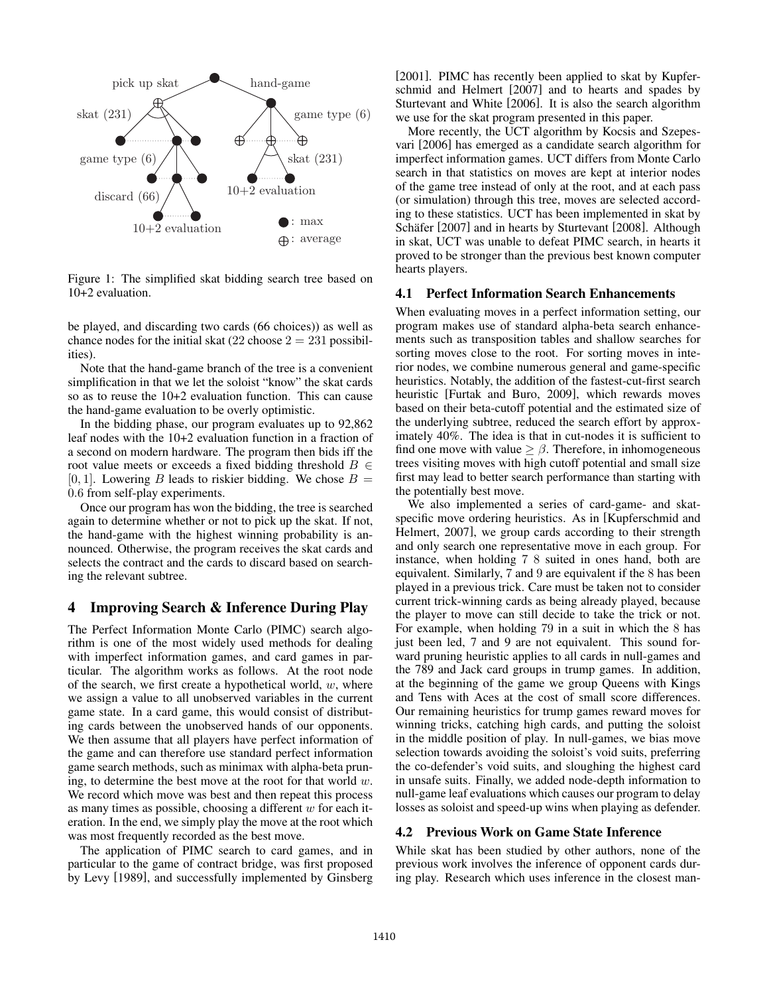

Figure 1: The simplified skat bidding search tree based on 10+2 evaluation.

be played, and discarding two cards (66 choices)) as well as chance nodes for the initial skat  $(22 \text{ choose } 2 = 231 \text{ possible}]$ ities).

Note that the hand-game branch of the tree is a convenient simplification in that we let the soloist "know" the skat cards so as to reuse the 10+2 evaluation function. This can cause the hand-game evaluation to be overly optimistic.

In the bidding phase, our program evaluates up to 92,862 leaf nodes with the 10+2 evaluation function in a fraction of a second on modern hardware. The program then bids iff the root value meets or exceeds a fixed bidding threshold  $B \in$ [0, 1]. Lowering B leads to riskier bidding. We chose  $B =$ <sup>0</sup>.<sup>6</sup> from self-play experiments.

Once our program has won the bidding, the tree is searched again to determine whether or not to pick up the skat. If not, the hand-game with the highest winning probability is announced. Otherwise, the program receives the skat cards and selects the contract and the cards to discard based on searching the relevant subtree.

# 4 Improving Search & Inference During Play

The Perfect Information Monte Carlo (PIMC) search algorithm is one of the most widely used methods for dealing with imperfect information games, and card games in particular. The algorithm works as follows. At the root node of the search, we first create a hypothetical world,  $w$ , where we assign a value to all unobserved variables in the current game state. In a card game, this would consist of distributing cards between the unobserved hands of our opponents. We then assume that all players have perfect information of the game and can therefore use standard perfect information game search methods, such as minimax with alpha-beta pruning, to determine the best move at the root for that world  $w$ . We record which move was best and then repeat this process as many times as possible, choosing a different  $w$  for each iteration. In the end, we simply play the move at the root which was most frequently recorded as the best move.

The application of PIMC search to card games, and in particular to the game of contract bridge, was first proposed by Levy [1989], and successfully implemented by Ginsberg [2001]. PIMC has recently been applied to skat by Kupferschmid and Helmert [2007] and to hearts and spades by Sturtevant and White [2006]. It is also the search algorithm we use for the skat program presented in this paper.

More recently, the UCT algorithm by Kocsis and Szepesvari [2006] has emerged as a candidate search algorithm for imperfect information games. UCT differs from Monte Carlo search in that statistics on moves are kept at interior nodes of the game tree instead of only at the root, and at each pass (or simulation) through this tree, moves are selected according to these statistics. UCT has been implemented in skat by Schäfer [2007] and in hearts by Sturtevant [2008]. Although in skat, UCT was unable to defeat PIMC search, in hearts it proved to be stronger than the previous best known computer hearts players.

#### 4.1 Perfect Information Search Enhancements

When evaluating moves in a perfect information setting, our program makes use of standard alpha-beta search enhancements such as transposition tables and shallow searches for sorting moves close to the root. For sorting moves in interior nodes, we combine numerous general and game-specific heuristics. Notably, the addition of the fastest-cut-first search heuristic [Furtak and Buro, 2009], which rewards moves based on their beta-cutoff potential and the estimated size of the underlying subtree, reduced the search effort by approximately 40%. The idea is that in cut-nodes it is sufficient to find one move with value  $\geq \beta$ . Therefore, in inhomogeneous trees visiting moves with high cutoff potential and small size first may lead to better search performance than starting with the potentially best move.

We also implemented a series of card-game- and skatspecific move ordering heuristics. As in [Kupferschmid and Helmert, 2007], we group cards according to their strength and only search one representative move in each group. For instance, when holding 7 8 suited in ones hand, both are equivalent. Similarly, 7 and 9 are equivalent if the 8 has been played in a previous trick. Care must be taken not to consider current trick-winning cards as being already played, because the player to move can still decide to take the trick or not. For example, when holding 79 in a suit in which the 8 has just been led, 7 and 9 are not equivalent. This sound forward pruning heuristic applies to all cards in null-games and the 789 and Jack card groups in trump games. In addition, at the beginning of the game we group Queens with Kings and Tens with Aces at the cost of small score differences. Our remaining heuristics for trump games reward moves for winning tricks, catching high cards, and putting the soloist in the middle position of play. In null-games, we bias move selection towards avoiding the soloist's void suits, preferring the co-defender's void suits, and sloughing the highest card in unsafe suits. Finally, we added node-depth information to null-game leaf evaluations which causes our program to delay losses as soloist and speed-up wins when playing as defender.

#### 4.2 Previous Work on Game State Inference

While skat has been studied by other authors, none of the previous work involves the inference of opponent cards during play. Research which uses inference in the closest man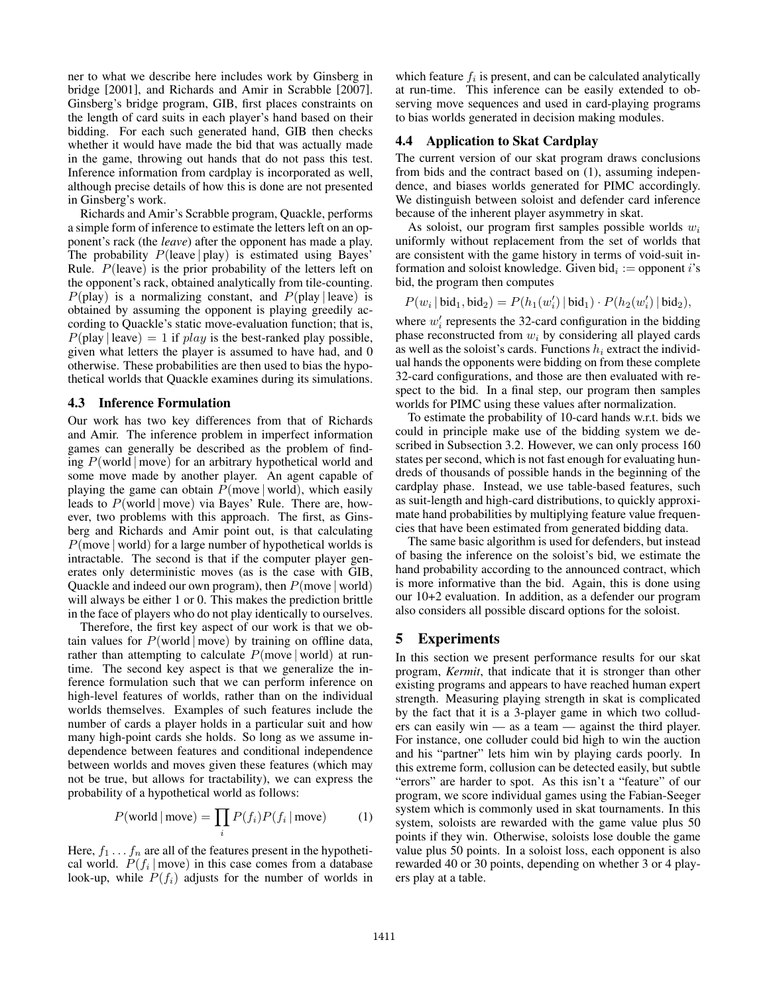ner to what we describe here includes work by Ginsberg in bridge [2001], and Richards and Amir in Scrabble [2007]. Ginsberg's bridge program, GIB, first places constraints on the length of card suits in each player's hand based on their bidding. For each such generated hand, GIB then checks whether it would have made the bid that was actually made in the game, throwing out hands that do not pass this test. Inference information from cardplay is incorporated as well, although precise details of how this is done are not presented in Ginsberg's work.

Richards and Amir's Scrabble program, Quackle, performs a simple form of inference to estimate the letters left on an opponent's rack (the *leave*) after the opponent has made a play. The probability  $P(\text{leave} | \text{play})$  is estimated using Bayes' Rule.  $P$ (leave) is the prior probability of the letters left on the opponent's rack, obtained analytically from tile-counting.  $P(\text{play})$  is a normalizing constant, and  $P(\text{play} | \text{leave})$  is obtained by assuming the opponent is playing greedily according to Quackle's static move-evaluation function; that is,  $P(\text{play} \mid \text{leave})=1$  if  $play$  is the best-ranked play possible, given what letters the player is assumed to have had, and 0 otherwise. These probabilities are then used to bias the hypothetical worlds that Quackle examines during its simulations.

#### 4.3 Inference Formulation

Our work has two key differences from that of Richards and Amir. The inference problem in imperfect information games can generally be described as the problem of finding  $P(\text{world} | \text{move})$  for an arbitrary hypothetical world and some move made by another player. An agent capable of playing the game can obtain  $P$ (move | world), which easily leads to  $P(\text{world} | \text{move})$  via Bayes' Rule. There are, however, two problems with this approach. The first, as Ginsberg and Richards and Amir point out, is that calculating  $P$ (move | world) for a large number of hypothetical worlds is intractable. The second is that if the computer player generates only deterministic moves (as is the case with GIB, Quackle and indeed our own program), then  $P(\text{move} | \text{world})$ will always be either 1 or 0. This makes the prediction brittle in the face of players who do not play identically to ourselves.

Therefore, the first key aspect of our work is that we obtain values for  $P(\text{world} | \text{move})$  by training on offline data, rather than attempting to calculate  $P$ (move | world) at runtime. The second key aspect is that we generalize the inference formulation such that we can perform inference on high-level features of worlds, rather than on the individual worlds themselves. Examples of such features include the number of cards a player holds in a particular suit and how many high-point cards she holds. So long as we assume independence between features and conditional independence between worlds and moves given these features (which may not be true, but allows for tractability), we can express the probability of a hypothetical world as follows:

$$
P(\text{world} \mid \text{move}) = \prod_{i} P(f_i) P(f_i \mid \text{move}) \tag{1}
$$

Here,  $f_1 \ldots f_n$  are all of the features present in the hypothetical world.  $P(f_i | \text{move})$  in this case comes from a database look-up, while  $P(f_i)$  adjusts for the number of worlds in which feature  $f_i$  is present, and can be calculated analytically at run-time. This inference can be easily extended to observing move sequences and used in card-playing programs to bias worlds generated in decision making modules.

#### 4.4 Application to Skat Cardplay

The current version of our skat program draws conclusions from bids and the contract based on (1), assuming independence, and biases worlds generated for PIMC accordingly. We distinguish between soloist and defender card inference because of the inherent player asymmetry in skat.

As soloist, our program first samples possible worlds  $w_i$ uniformly without replacement from the set of worlds that are consistent with the game history in terms of void-suit information and soloist knowledge. Given bid<sub>i</sub> := opponent i's bid, the program then computes

$$
P(w_i | \text{bid}_1, \text{bid}_2) = P(h_1(w'_i) | \text{bid}_1) \cdot P(h_2(w'_i) | \text{bid}_2),
$$

where  $w'_i$  represents the 32-card configuration in the bidding phase reconstructed from  $w_i$  by considering all played cards phase reconstructed from  $w_i$  by considering all played cards as well as the soloist's cards. Functions  $h_i$  extract the individual hands the opponents were bidding on from these complete 32-card configurations, and those are then evaluated with respect to the bid. In a final step, our program then samples worlds for PIMC using these values after normalization.

To estimate the probability of 10-card hands w.r.t. bids we could in principle make use of the bidding system we described in Subsection 3.2. However, we can only process 160 states per second, which is not fast enough for evaluating hundreds of thousands of possible hands in the beginning of the cardplay phase. Instead, we use table-based features, such as suit-length and high-card distributions, to quickly approximate hand probabilities by multiplying feature value frequencies that have been estimated from generated bidding data.

The same basic algorithm is used for defenders, but instead of basing the inference on the soloist's bid, we estimate the hand probability according to the announced contract, which is more informative than the bid. Again, this is done using our 10+2 evaluation. In addition, as a defender our program also considers all possible discard options for the soloist.

#### 5 Experiments

In this section we present performance results for our skat program, *Kermit*, that indicate that it is stronger than other existing programs and appears to have reached human expert strength. Measuring playing strength in skat is complicated by the fact that it is a 3-player game in which two colluders can easily win — as a team — against the third player. For instance, one colluder could bid high to win the auction and his "partner" lets him win by playing cards poorly. In this extreme form, collusion can be detected easily, but subtle "errors" are harder to spot. As this isn't a "feature" of our program, we score individual games using the Fabian-Seeger system which is commonly used in skat tournaments. In this system, soloists are rewarded with the game value plus 50 points if they win. Otherwise, soloists lose double the game value plus 50 points. In a soloist loss, each opponent is also rewarded 40 or 30 points, depending on whether 3 or 4 players play at a table.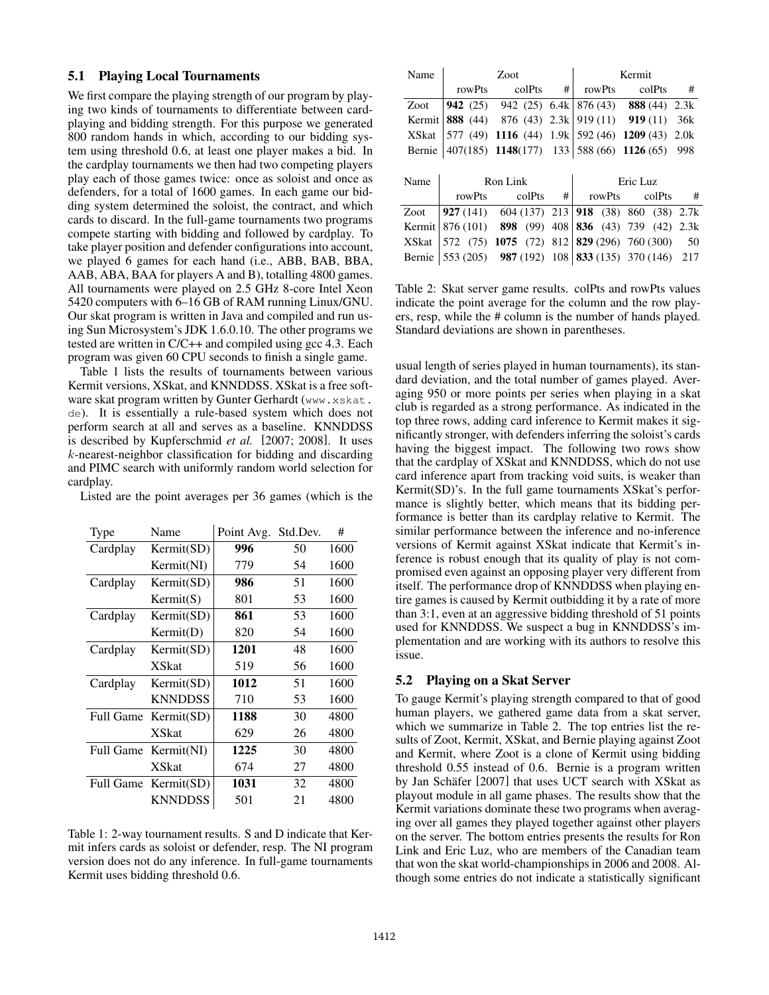#### 5.1 Playing Local Tournaments

We first compare the playing strength of our program by playing two kinds of tournaments to differentiate between cardplaying and bidding strength. For this purpose we generated 800 random hands in which, according to our bidding system using threshold 0.6, at least one player makes a bid. In the cardplay tournaments we then had two competing players play each of those games twice: once as soloist and once as defenders, for a total of 1600 games. In each game our bidding system determined the soloist, the contract, and which cards to discard. In the full-game tournaments two programs compete starting with bidding and followed by cardplay. To take player position and defender configurations into account, we played 6 games for each hand (i.e., ABB, BAB, BBA, AAB, ABA, BAA for players A and B), totalling 4800 games. All tournaments were played on 2.5 GHz 8-core Intel Xeon 5420 computers with 6–16 GB of RAM running Linux/GNU. Our skat program is written in Java and compiled and run using Sun Microsystem's JDK 1.6.0.10. The other programs we tested are written in C/C++ and compiled using gcc 4.3. Each program was given 60 CPU seconds to finish a single game.

Table 1 lists the results of tournaments between various Kermit versions, XSkat, and KNNDDSS. XSkat is a free software skat program written by Gunter Gerhardt (www.xskat. de). It is essentially a rule-based system which does not perform search at all and serves as a baseline. KNNDDSS is described by Kupferschmid *et al.* [2007; 2008]. It uses k-nearest-neighbor classification for bidding and discarding and PIMC search with uniformly random world selection for cardplay.

Listed are the point averages per 36 games (which is the

| Type             | Name           | Point Avg. | Std.Dev. | #    |
|------------------|----------------|------------|----------|------|
| Cardplay         | Kermit(SD)     | 996        | 50       | 1600 |
|                  | Kermit(NI)     | 779        | 54       | 1600 |
| Cardplay         | Kermit(SD)     | 986        | 51       | 1600 |
|                  | Kermit(S)      | 801        | 53       | 1600 |
| Cardplay         | Kermit(SD)     | 861        | 53       | 1600 |
|                  | Kermit(D)      | 820        | 54       | 1600 |
| Cardplay         | Kermit(SD)     | 1201       | 48       | 1600 |
|                  | <b>XSkat</b>   | 519        | 56       | 1600 |
| Cardplay         | Kermit(SD)     | 1012       | 51       | 1600 |
|                  | <b>KNNDDSS</b> | 710        | 53       | 1600 |
| <b>Full Game</b> | Kermit(SD)     | 1188       | 30       | 4800 |
|                  | <b>XSkat</b>   | 629        | 26       | 4800 |
| Full Game        | Kermit(NI)     | 1225       | 30       | 4800 |
|                  | <b>XSkat</b>   | 674        | 27       | 4800 |
| Full Game        | Kermit(SD)     | 1031       | 32       | 4800 |
|                  | <b>KNNDDSS</b> | 501        | 21       | 4800 |

Table 1: 2-way tournament results. S and D indicate that Kermit infers cards as soloist or defender, resp. The NI program version does not do any inference. In full-game tournaments Kermit uses bidding threshold 0.6.

| Name         | Zoot      |                                                              |     | Kermit   |                        |     |  |
|--------------|-----------|--------------------------------------------------------------|-----|----------|------------------------|-----|--|
|              | rowPts    | colPts                                                       | #   | rowPts   | colPts                 | #   |  |
| Zoot         |           | <b>942</b> (25) 942 (25) 6.4k 876 (43) <b>888</b> (44) 2.3k  |     |          |                        |     |  |
| Kermit       |           | <b>888</b> (44) 876 (43) 2.3k 919 (11) 919 (11)              |     |          |                        | 36k |  |
| <b>XSkat</b> |           | 577 (49) 1116 (44) 1.9k 592 (46) 1209 (43) 2.0k              |     |          |                        |     |  |
|              |           | Bernie 407(185) 1148(177) 133 588 (66) 1126 (65) 998         |     |          |                        |     |  |
|              |           |                                                              |     |          |                        |     |  |
| Name         | Ron Link  |                                                              |     | Eric Luz |                        |     |  |
|              | rowPts    | colPts                                                       | #   | rowPts   | colPts                 | #   |  |
| Zoot         |           | <b>927</b> (141) 604 (137) 213 <b>918</b> (38) 860 (38) 2.7k |     |          |                        |     |  |
| Kermit       | 876 (101) | 898(99)                                                      | 408 |          | 836 (43) 739 (42) 2.3k |     |  |
| <b>XSkat</b> |           | 572 (75) 1075 (72) 812 829 (296) 760 (300)                   |     |          |                        | 50  |  |
|              |           |                                                              |     |          |                        |     |  |

Table 2: Skat server game results. colPts and rowPts values indicate the point average for the column and the row players, resp, while the # column is the number of hands played. Standard deviations are shown in parentheses.

usual length of series played in human tournaments), its standard deviation, and the total number of games played. Averaging 950 or more points per series when playing in a skat club is regarded as a strong performance. As indicated in the top three rows, adding card inference to Kermit makes it significantly stronger, with defenders inferring the soloist's cards having the biggest impact. The following two rows show that the cardplay of XSkat and KNNDDSS, which do not use card inference apart from tracking void suits, is weaker than Kermit(SD)'s. In the full game tournaments XSkat's performance is slightly better, which means that its bidding performance is better than its cardplay relative to Kermit. The similar performance between the inference and no-inference versions of Kermit against XSkat indicate that Kermit's inference is robust enough that its quality of play is not compromised even against an opposing player very different from itself. The performance drop of KNNDDSS when playing entire games is caused by Kermit outbidding it by a rate of more than 3:1, even at an aggressive bidding threshold of 51 points used for KNNDDSS. We suspect a bug in KNNDDSS's implementation and are working with its authors to resolve this issue.

#### 5.2 Playing on a Skat Server

To gauge Kermit's playing strength compared to that of good human players, we gathered game data from a skat server, which we summarize in Table 2. The top entries list the results of Zoot, Kermit, XSkat, and Bernie playing against Zoot and Kermit, where Zoot is a clone of Kermit using bidding threshold 0.55 instead of 0.6. Bernie is a program written by Jan Schäfer [2007] that uses UCT search with XSkat as playout module in all game phases. The results show that the Kermit variations dominate these two programs when averaging over all games they played together against other players on the server. The bottom entries presents the results for Ron Link and Eric Luz, who are members of the Canadian team that won the skat world-championships in 2006 and 2008. Although some entries do not indicate a statistically significant